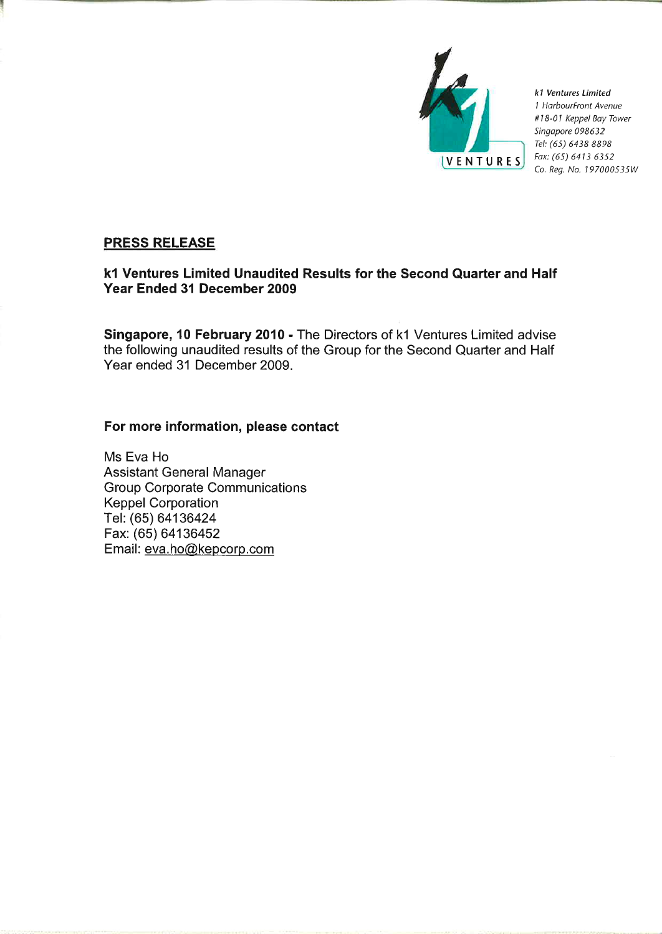

k1 Ventures Limited 1 HarbourFront Avenue #18-01 Keppel Bay Tower Singapore 098632 Tel: (65) 6438 8898 Fax: (65) 6413 6352 Co. Reg. No. 197000535W

# **PRESS RELEASE**

# k1 Ventures Limited Unaudited Results for the Second Quarter and Half Year Ended 31 December 2009

Singapore, 10 February 2010 - The Directors of k1 Ventures Limited advise the following unaudited results of the Group for the Second Quarter and Half Year ended 31 December 2009.

# For more information, please contact

Ms Eva Ho **Assistant General Manager Group Corporate Communications Keppel Corporation** Tel: (65) 64136424 Fax: (65) 64136452 Email: eva.ho@kepcorp.com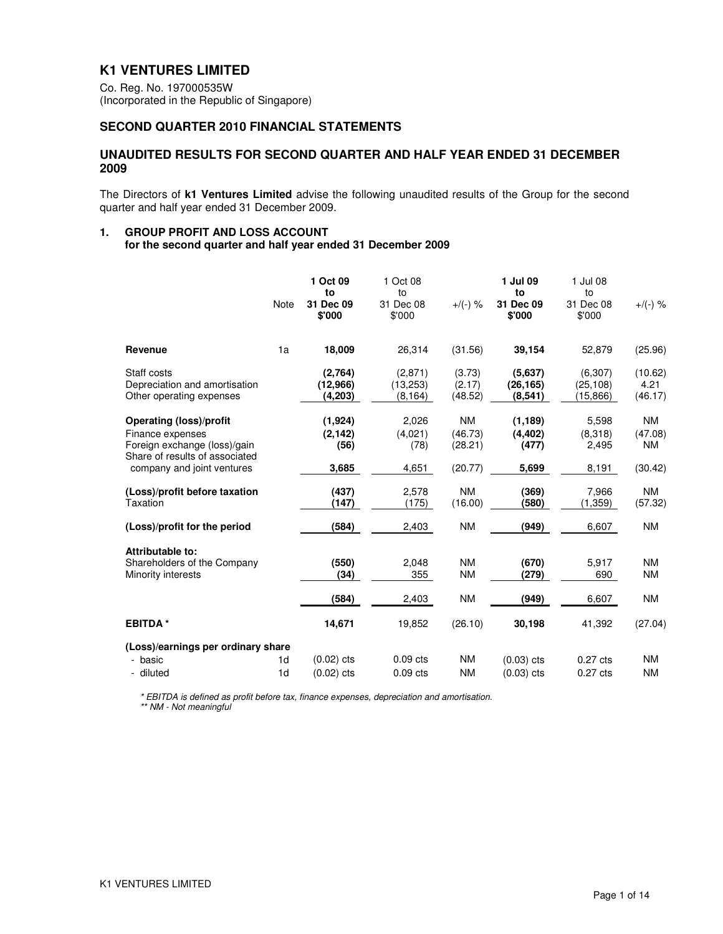## **K1 VENTURES LIMITED**

Co. Reg. No. 197000535W (Incorporated in the Republic of Singapore)

## **SECOND QUARTER 2010 FINANCIAL STATEMENTS**

### **UNAUDITED RESULTS FOR SECOND QUARTER AND HALF YEAR ENDED 31 DECEMBER 2009**

The Directors of **k1 Ventures Limited** advise the following unaudited results of the Group for the second quarter and half year ended 31 December 2009.

### **1. GROUP PROFIT AND LOSS ACCOUNT**

 **for the second quarter and half year ended 31 December 2009** 

|                                                                                                                                                    |                                  | 1 Oct 09<br>to                       | 1 Oct 08<br>to                    |                                            | 1 Jul 09<br>to                         | 1 Jul 08<br>to                     |                                              |
|----------------------------------------------------------------------------------------------------------------------------------------------------|----------------------------------|--------------------------------------|-----------------------------------|--------------------------------------------|----------------------------------------|------------------------------------|----------------------------------------------|
|                                                                                                                                                    | Note                             | 31 Dec 09<br>\$'000                  | 31 Dec 08<br>\$'000               | $+/(-)$ %                                  | 31 Dec 09<br>\$'000                    | 31 Dec 08<br>\$'000                | $+/(-)$ %                                    |
| Revenue                                                                                                                                            | 1a                               | 18,009                               | 26,314                            | (31.56)                                    | 39,154                                 | 52,879                             | (25.96)                                      |
| Staff costs<br>Depreciation and amortisation<br>Other operating expenses                                                                           |                                  | (2,764)<br>(12,966)<br>(4,203)       | (2,871)<br>(13,253)<br>(8, 164)   | (3.73)<br>(2.17)<br>(48.52)                | (5.637)<br>(26, 165)<br>(8,541)        | (6,307)<br>(25, 108)<br>(15, 866)  | (10.62)<br>4.21<br>(46.17)                   |
| <b>Operating (loss)/profit</b><br>Finance expenses<br>Foreign exchange (loss)/gain<br>Share of results of associated<br>company and joint ventures |                                  | (1,924)<br>(2, 142)<br>(56)<br>3,685 | 2,026<br>(4,021)<br>(78)<br>4,651 | <b>NM</b><br>(46.73)<br>(28.21)<br>(20.77) | (1, 189)<br>(4, 402)<br>(477)<br>5,699 | 5,598<br>(8,318)<br>2,495<br>8,191 | <b>NM</b><br>(47.08)<br><b>NM</b><br>(30.42) |
| (Loss)/profit before taxation<br>Taxation                                                                                                          |                                  | (437)<br>(147)                       | 2,578<br>(175)                    | <b>NM</b><br>(16.00)                       | (369)<br>(580)                         | 7,966<br>(1,359)                   | <b>NM</b><br>(57.32)                         |
| (Loss)/profit for the period                                                                                                                       |                                  | (584)                                | 2,403                             | <b>NM</b>                                  | (949)                                  | 6,607                              | <b>NM</b>                                    |
| Attributable to:<br>Shareholders of the Company<br>Minority interests                                                                              |                                  | (550)<br>(34)                        | 2.048<br>355                      | <b>NM</b><br><b>NM</b>                     | (670)<br>(279)                         | 5,917<br>690                       | <b>NM</b><br><b>NM</b>                       |
|                                                                                                                                                    |                                  | (584)                                | 2,403                             | <b>NM</b>                                  | (949)                                  | 6,607                              | <b>NM</b>                                    |
| <b>EBITDA*</b>                                                                                                                                     |                                  | 14,671                               | 19,852                            | (26.10)                                    | 30,198                                 | 41,392                             | (27.04)                                      |
| (Loss)/earnings per ordinary share                                                                                                                 |                                  |                                      |                                   |                                            |                                        |                                    |                                              |
| - basic<br>- diluted                                                                                                                               | 1 <sub>d</sub><br>1 <sub>d</sub> | $(0.02)$ cts<br>$(0.02)$ cts         | $0.09$ cts<br>$0.09$ cts          | <b>NM</b><br><b>NM</b>                     | $(0.03)$ cts<br>$(0.03)$ cts           | $0.27$ cts<br>$0.27$ cts           | <b>NM</b><br><b>NM</b>                       |

\* EBITDA is defined as profit before tax, finance expenses, depreciation and amortisation.

\*\* NM - Not meaningful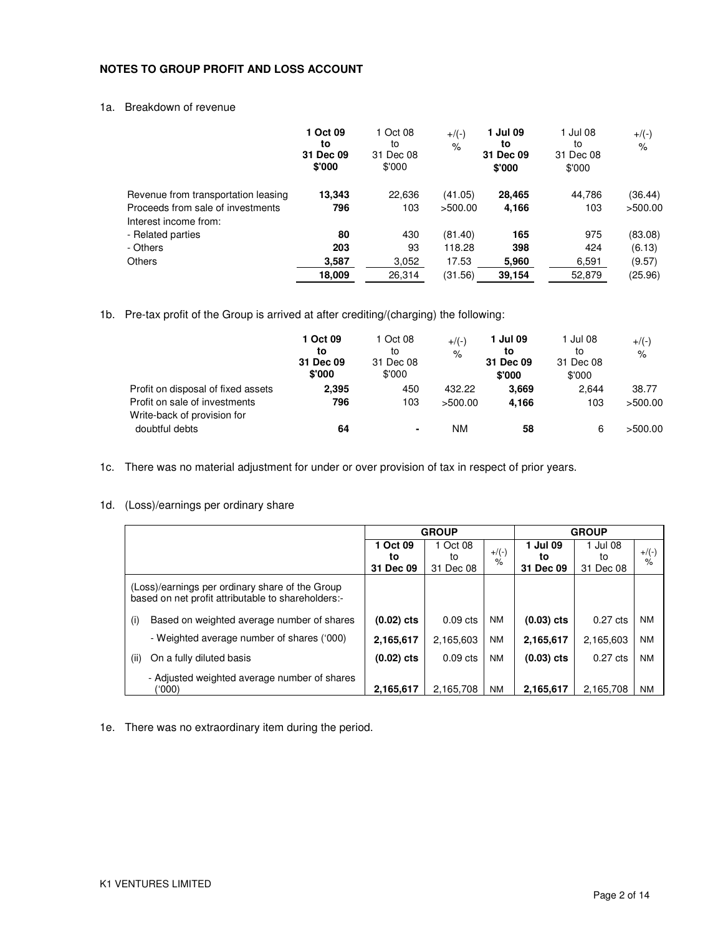### **NOTES TO GROUP PROFIT AND LOSS ACCOUNT**

### 1a. Breakdown of revenue

|                                                            | 1 Oct 09<br>to<br>31 Dec 09<br>\$'000 | 1 Oct 08<br>to<br>31 Dec 08<br>\$'000 | $+$ /(-)<br>$\%$ | 1 Jul 09<br>to<br>31 Dec 09<br>\$'000 | 1 Jul 08<br>to<br>31 Dec 08<br>\$'000 | $+$ /(-)<br>$\%$ |
|------------------------------------------------------------|---------------------------------------|---------------------------------------|------------------|---------------------------------------|---------------------------------------|------------------|
| Revenue from transportation leasing                        | 13,343                                | 22,636                                | (41.05)          | 28,465                                | 44.786                                | (36.44)          |
| Proceeds from sale of investments<br>Interest income from: | 796                                   | 103                                   | >500.00          | 4,166                                 | 103                                   | >500.00          |
| - Related parties                                          | 80                                    | 430                                   | (81.40)          | 165                                   | 975                                   | (83.08)          |
| - Others                                                   | 203                                   | 93                                    | 118.28           | 398                                   | 424                                   | (6.13)           |
| <b>Others</b>                                              | 3,587                                 | 3,052                                 | 17.53            | 5,960                                 | 6,591                                 | (9.57)           |
|                                                            | 18,009                                | 26,314                                | (31.56)          | 39,154                                | 52,879                                | (25.96)          |

1b. Pre-tax profit of the Group is arrived at after crediting/(charging) the following:

|                                               | 1 Oct 09<br>to<br>31 Dec 09<br>\$'000 | 1 Oct 08<br>to<br>31 Dec 08<br>\$'000 | $+$ /(-)<br>$\%$ | 1 Jul 09<br>to<br>31 Dec 09<br>\$'000 | 1 Jul 08<br>to<br>31 Dec 08<br>\$'000 | $+$ /(-)<br>$\%$ |
|-----------------------------------------------|---------------------------------------|---------------------------------------|------------------|---------------------------------------|---------------------------------------|------------------|
| Profit on disposal of fixed assets            | 2,395                                 | 450                                   | 432.22           | 3.669                                 | 2.644                                 | 38.77            |
| Profit on sale of investments                 | 796                                   | 103                                   | >500.00          | 4.166                                 | 103                                   | >500.00          |
| Write-back of provision for<br>doubtful debts | 64                                    | ٠                                     | ΝM               | 58                                    | 6                                     | >500.00          |

1c. There was no material adjustment for under or over provision of tax in respect of prior years.

### 1d. (Loss)/earnings per ordinary share

|      |                                                                                                       | <b>GROUP</b> |            |           | <b>GROUP</b>        |                    |           |
|------|-------------------------------------------------------------------------------------------------------|--------------|------------|-----------|---------------------|--------------------|-----------|
|      |                                                                                                       | 1 Oct 09     | 1 Oct 08   | $+/(-)$   | 1 Jul 09            | 1 Jul 08           | $+$ /(-)  |
|      |                                                                                                       | to           | to         | $\%$      | to                  | to                 | $\%$      |
|      |                                                                                                       | 31 Dec 09    | 31 Dec 08  |           | <b>Dec 09</b><br>31 | 31 Dec 08          |           |
|      | (Loss)/earnings per ordinary share of the Group<br>based on net profit attributable to shareholders:- |              |            |           |                     |                    |           |
| (i)  | Based on weighted average number of shares                                                            | $(0.02)$ cts | $0.09$ cts | <b>NM</b> | $(0.03)$ cts        | $0.27$ cts         | <b>NM</b> |
|      | - Weighted average number of shares ('000)                                                            | 2,165,617    | 2,165,603  | <b>NM</b> | 2,165,617           | 2,165,603          | <b>NM</b> |
| (ii) | On a fully diluted basis                                                                              | $(0.02)$ cts | $0.09$ cts | <b>NM</b> | $(0.03)$ cts        | $0.27 \text{ cts}$ | <b>NM</b> |
|      | - Adjusted weighted average number of shares<br>(000)                                                 | 2,165,617    | 2.165.708  | <b>NM</b> | 2,165,617           | 2,165,708          | <b>NM</b> |

1e. There was no extraordinary item during the period.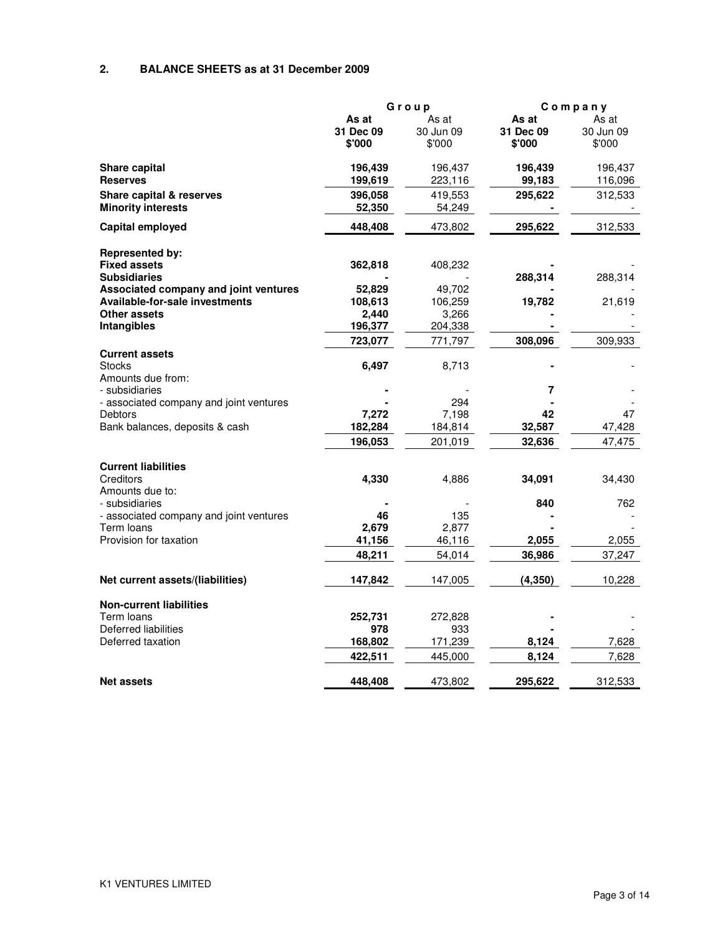## **2. BALANCE SHEETS as at 31 December 2009**

|                                         |           | Group     |           | Company   |  |
|-----------------------------------------|-----------|-----------|-----------|-----------|--|
|                                         | As at     | As at     | As at     | As at     |  |
|                                         | 31 Dec 09 | 30 Jun 09 | 31 Dec 09 | 30 Jun 09 |  |
|                                         | \$'000    | \$'000    | \$'000    | \$'000    |  |
| Share capital                           | 196,439   | 196,437   | 196,439   | 196,437   |  |
| <b>Reserves</b>                         | 199,619   | 223,116   | 99,183    | 116,096   |  |
| Share capital & reserves                | 396,058   | 419,553   | 295,622   | 312,533   |  |
| <b>Minority interests</b>               | 52,350    | 54,249    |           |           |  |
| Capital employed                        | 448,408   | 473,802   | 295,622   | 312,533   |  |
| <b>Represented by:</b>                  |           |           |           |           |  |
| <b>Fixed assets</b>                     | 362,818   | 408,232   |           |           |  |
| <b>Subsidiaries</b>                     |           |           | 288,314   | 288,314   |  |
| Associated company and joint ventures   | 52,829    | 49,702    |           |           |  |
| <b>Available-for-sale investments</b>   | 108,613   | 106,259   | 19,782    | 21,619    |  |
| Other assets                            | 2,440     | 3,266     |           |           |  |
| Intangibles                             | 196,377   | 204,338   |           |           |  |
|                                         | 723,077   | 771,797   | 308,096   | 309,933   |  |
| <b>Current assets</b>                   |           |           |           |           |  |
| <b>Stocks</b>                           | 6,497     | 8,713     |           |           |  |
| Amounts due from:                       |           |           |           |           |  |
| - subsidiaries                          |           |           | 7         |           |  |
| - associated company and joint ventures |           | 294       |           |           |  |
| <b>Debtors</b>                          | 7,272     | 7,198     | 42        | 47        |  |
| Bank balances, deposits & cash          | 182,284   | 184,814   | 32,587    | 47,428    |  |
|                                         | 196,053   | 201,019   | 32,636    | 47,475    |  |
| <b>Current liabilities</b>              |           |           |           |           |  |
| Creditors                               | 4,330     | 4,886     | 34,091    | 34,430    |  |
| Amounts due to:                         |           |           |           |           |  |
| - subsidiaries                          |           |           | 840       | 762       |  |
| - associated company and joint ventures | 46        | 135       |           |           |  |
| Term loans                              | 2,679     | 2,877     |           |           |  |
| Provision for taxation                  | 41,156    | 46,116    | 2,055     | 2,055     |  |
|                                         | 48,211    | 54,014    | 36,986    | 37,247    |  |
| Net current assets/(liabilities)        | 147,842   | 147,005   | (4, 350)  | 10,228    |  |
|                                         |           |           |           |           |  |
| <b>Non-current liabilities</b>          |           |           |           |           |  |
| Term Ioans                              | 252,731   | 272,828   |           |           |  |
| Deferred liabilities                    | 978       | 933       |           |           |  |
| Deferred taxation                       | 168,802   | 171,239   | 8,124     | 7,628     |  |
|                                         | 422,511   | 445,000   | 8,124     | 7,628     |  |
| <b>Net assets</b>                       | 448,408   | 473,802   | 295,622   | 312,533   |  |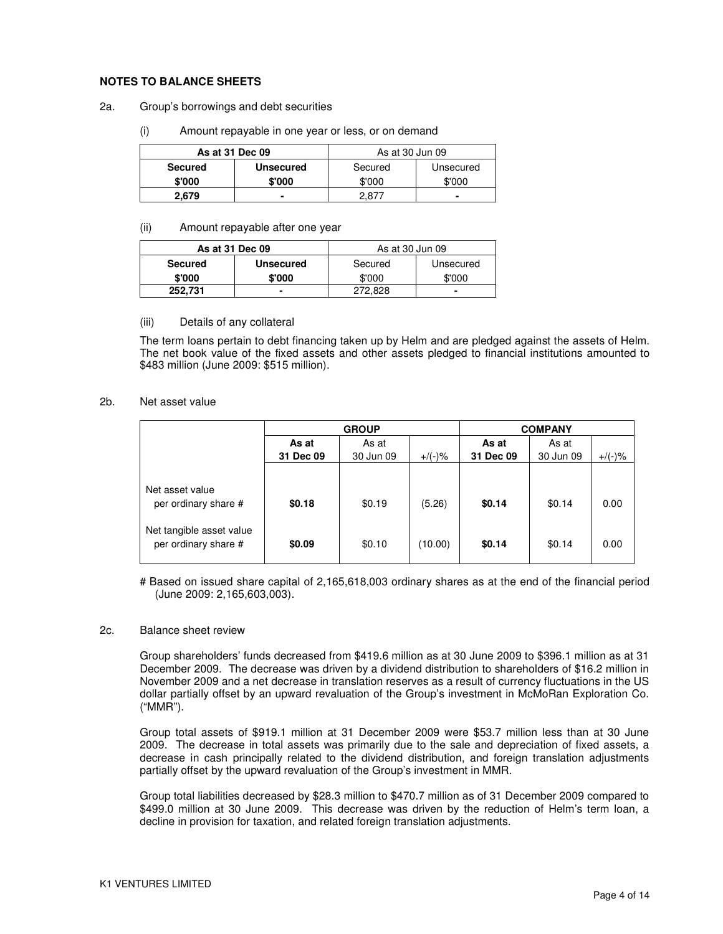### **NOTES TO BALANCE SHEETS**

- 2a. Group's borrowings and debt securities
	- (i) Amount repayable in one year or less, or on demand

| As at 31 Dec 09 |                  | As at 30 Jun 09 |           |
|-----------------|------------------|-----------------|-----------|
| <b>Secured</b>  | <b>Unsecured</b> | Secured         | Unsecured |
| \$'000          | \$'000           | \$'000          | \$'000    |
| 2.679           |                  |                 |           |

#### (ii) Amount repayable after one year

|                | As at 31 Dec 09  | As at 30 Jun 09 |           |
|----------------|------------------|-----------------|-----------|
| <b>Secured</b> | <b>Unsecured</b> | Secured         | Unsecured |
| \$'000         | \$'000           | \$'000          | \$'000    |
| 252.731        |                  | 272.828         |           |

#### (iii) Details of any collateral

The term loans pertain to debt financing taken up by Helm and are pledged against the assets of Helm. The net book value of the fixed assets and other assets pledged to financial institutions amounted to \$483 million (June 2009: \$515 million).

### 2b. Net asset value

|                                                  | <b>GROUP</b> |           |           | <b>COMPANY</b> |           |           |  |
|--------------------------------------------------|--------------|-----------|-----------|----------------|-----------|-----------|--|
|                                                  | As at        | As at     |           | As at          | As at     |           |  |
|                                                  | 31 Dec 09    | 30 Jun 09 | $+$ /(-)% | 31 Dec 09      | 30 Jun 09 | $+/(-)$ % |  |
|                                                  |              |           |           |                |           |           |  |
| Net asset value<br>per ordinary share #          | \$0.18       | \$0.19    | (5.26)    | \$0.14         | \$0.14    | 0.00      |  |
| Net tangible asset value<br>per ordinary share # | \$0.09       | \$0.10    | (10.00)   | \$0.14         | \$0.14    | 0.00      |  |

# Based on issued share capital of 2,165,618,003 ordinary shares as at the end of the financial period (June 2009: 2,165,603,003).

#### 2c. Balance sheet review

Group shareholders' funds decreased from \$419.6 million as at 30 June 2009 to \$396.1 million as at 31 December 2009. The decrease was driven by a dividend distribution to shareholders of \$16.2 million in November 2009 and a net decrease in translation reserves as a result of currency fluctuations in the US dollar partially offset by an upward revaluation of the Group's investment in McMoRan Exploration Co. ("MMR").

Group total assets of \$919.1 million at 31 December 2009 were \$53.7 million less than at 30 June 2009. The decrease in total assets was primarily due to the sale and depreciation of fixed assets, a decrease in cash principally related to the dividend distribution, and foreign translation adjustments partially offset by the upward revaluation of the Group's investment in MMR.

Group total liabilities decreased by \$28.3 million to \$470.7 million as of 31 December 2009 compared to \$499.0 million at 30 June 2009. This decrease was driven by the reduction of Helm's term loan, a decline in provision for taxation, and related foreign translation adjustments.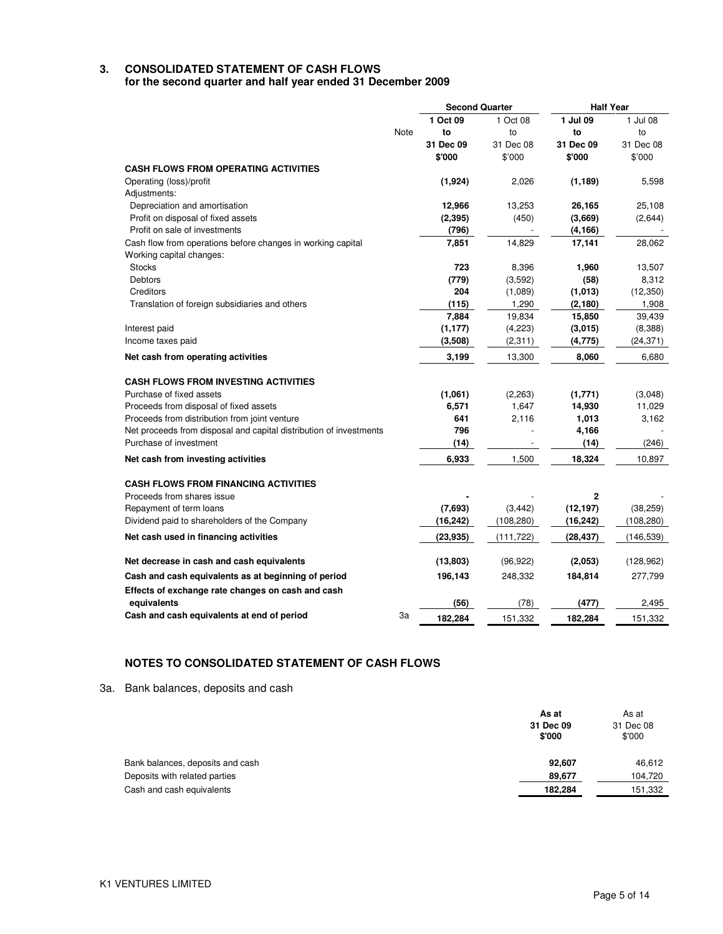## **3. CONSOLIDATED STATEMENT OF CASH FLOWS**

**for the second quarter and half year ended 31 December 2009** 

|                                                                    |      | <b>Second Quarter</b> |            | <b>Half Year</b> |            |
|--------------------------------------------------------------------|------|-----------------------|------------|------------------|------------|
|                                                                    |      | 1 Oct 09              | 1 Oct 08   | 1 Jul 09         | 1 Jul 08   |
|                                                                    | Note | to                    | to         | to               | to         |
|                                                                    |      | 31 Dec 09             | 31 Dec 08  | 31 Dec 09        | 31 Dec 08  |
|                                                                    |      | \$'000                | \$'000     | \$'000           | \$'000     |
| <b>CASH FLOWS FROM OPERATING ACTIVITIES</b>                        |      |                       |            |                  |            |
| Operating (loss)/profit                                            |      | (1,924)               | 2,026      | (1, 189)         | 5,598      |
| Adjustments:                                                       |      |                       |            |                  |            |
| Depreciation and amortisation                                      |      | 12,966                | 13,253     | 26,165           | 25,108     |
| Profit on disposal of fixed assets                                 |      | (2, 395)              | (450)      | (3,669)          | (2,644)    |
| Profit on sale of investments                                      |      | (796)                 |            | (4, 166)         |            |
| Cash flow from operations before changes in working capital        |      | 7,851                 | 14,829     | 17,141           | 28,062     |
| Working capital changes:                                           |      |                       |            |                  |            |
| <b>Stocks</b>                                                      |      | 723                   | 8,396      | 1,960            | 13,507     |
| <b>Debtors</b>                                                     |      | (779)                 | (3,592)    | (58)             | 8,312      |
| Creditors                                                          |      | 204                   | (1,089)    | (1,013)          | (12, 350)  |
| Translation of foreign subsidiaries and others                     |      | (115)                 | 1,290      | (2, 180)         | 1,908      |
|                                                                    |      | 7,884                 | 19,834     | 15,850           | 39,439     |
| Interest paid                                                      |      | (1, 177)              | (4,223)    | (3,015)          | (8,388)    |
| Income taxes paid                                                  |      | (3,508)               | (2, 311)   | (4, 775)         | (24, 371)  |
| Net cash from operating activities                                 |      | 3,199                 | 13,300     | 8,060            | 6,680      |
| <b>CASH FLOWS FROM INVESTING ACTIVITIES</b>                        |      |                       |            |                  |            |
| Purchase of fixed assets                                           |      | (1,061)               | (2, 263)   | (1,771)          | (3,048)    |
| Proceeds from disposal of fixed assets                             |      | 6,571                 | 1,647      | 14,930           | 11,029     |
| Proceeds from distribution from joint venture                      |      | 641                   | 2,116      | 1,013            | 3,162      |
| Net proceeds from disposal and capital distribution of investments |      | 796                   |            | 4,166            |            |
| Purchase of investment                                             |      | (14)                  |            | (14)             | (246)      |
| Net cash from investing activities                                 |      | 6,933                 | 1,500      | 18,324           | 10,897     |
|                                                                    |      |                       |            |                  |            |
| <b>CASH FLOWS FROM FINANCING ACTIVITIES</b>                        |      |                       |            |                  |            |
| Proceeds from shares issue                                         |      |                       |            | $\mathbf{2}$     |            |
| Repayment of term loans                                            |      | (7,693)               | (3, 442)   | (12, 197)        | (38, 259)  |
| Dividend paid to shareholders of the Company                       |      | (16, 242)             | (108, 280) | (16, 242)        | (108,280)  |
| Net cash used in financing activities                              |      | (23, 935)             | (111, 722) | (28, 437)        | (146, 539) |
| Net decrease in cash and cash equivalents                          |      | (13, 803)             | (96, 922)  | (2,053)          | (128, 962) |
| Cash and cash equivalents as at beginning of period                |      | 196,143               | 248,332    | 184,814          | 277,799    |
| Effects of exchange rate changes on cash and cash                  |      |                       |            |                  |            |
| equivalents                                                        |      | (56)                  | (78)       | (477)            | 2,495      |
| Cash and cash equivalents at end of period                         | За   | 182,284               | 151,332    | 182,284          | 151,332    |

## **NOTES TO CONSOLIDATED STATEMENT OF CASH FLOWS**

3a. Bank balances, deposits and cash

|                                  | As at<br>31 Dec 09<br>\$'000 | As at<br>31 Dec 08<br>\$'000 |
|----------------------------------|------------------------------|------------------------------|
| Bank balances, deposits and cash | 92,607                       | 46,612                       |
| Deposits with related parties    | 89,677                       | 104,720                      |
| Cash and cash equivalents        | 182,284                      | 151,332                      |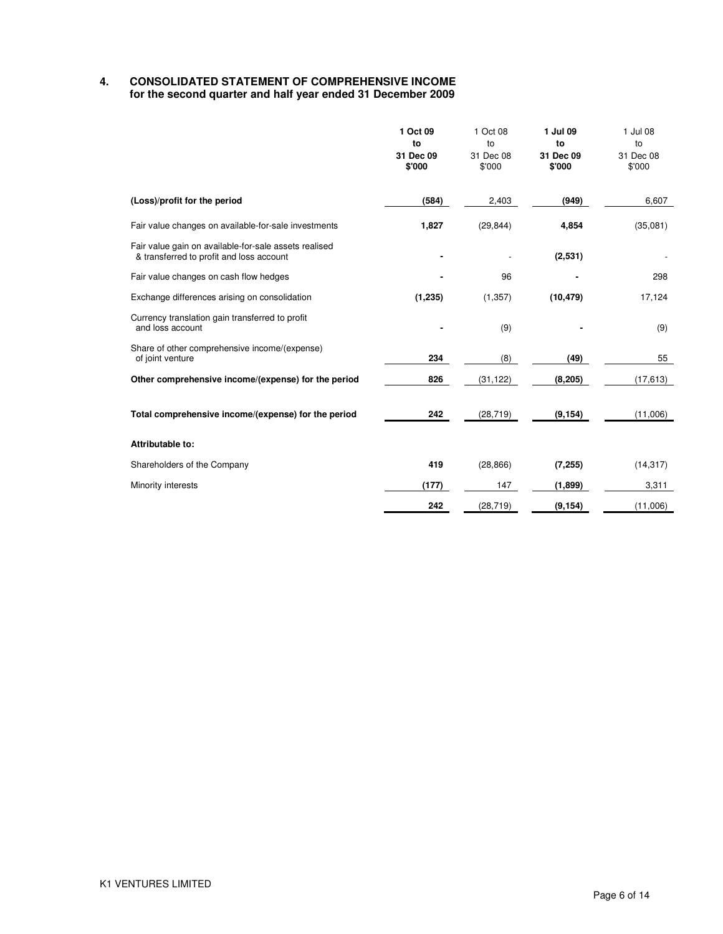## **4. CONSOLIDATED STATEMENT OF COMPREHENSIVE INCOME for the second quarter and half year ended 31 December 2009**

|                                                                                                   | 1 Oct 09<br>to<br>31 Dec 09<br>\$'000 | 1 Oct 08<br>to<br>31 Dec 08<br>\$'000 | 1 Jul 09<br>to<br>31 Dec 09<br>\$'000 | 1 Jul 08<br>to<br>31 Dec 08<br>\$'000 |
|---------------------------------------------------------------------------------------------------|---------------------------------------|---------------------------------------|---------------------------------------|---------------------------------------|
| (Loss)/profit for the period                                                                      | (584)                                 | 2,403                                 | (949)                                 | 6,607                                 |
| Fair value changes on available-for-sale investments                                              | 1,827                                 | (29, 844)                             | 4,854                                 | (35,081)                              |
| Fair value gain on available-for-sale assets realised<br>& transferred to profit and loss account |                                       |                                       | (2,531)                               |                                       |
| Fair value changes on cash flow hedges                                                            |                                       | 96                                    |                                       | 298                                   |
| Exchange differences arising on consolidation                                                     | (1, 235)                              | (1, 357)                              | (10, 479)                             | 17,124                                |
| Currency translation gain transferred to profit<br>and loss account                               |                                       | (9)                                   |                                       | (9)                                   |
| Share of other comprehensive income/(expense)<br>of joint venture                                 | 234                                   | (8)                                   | (49)                                  | 55                                    |
| Other comprehensive income/(expense) for the period                                               | 826                                   | (31, 122)                             | (8, 205)                              | (17, 613)                             |
| Total comprehensive income/(expense) for the period                                               | 242                                   | (28, 719)                             | (9, 154)                              | (11,006)                              |
| Attributable to:                                                                                  |                                       |                                       |                                       |                                       |
| Shareholders of the Company                                                                       | 419                                   | (28, 866)                             | (7, 255)                              | (14, 317)                             |
| Minority interests                                                                                | (177)                                 | 147                                   | (1,899)                               | 3,311                                 |
|                                                                                                   | 242                                   | (28, 719)                             | (9, 154)                              | (11,006)                              |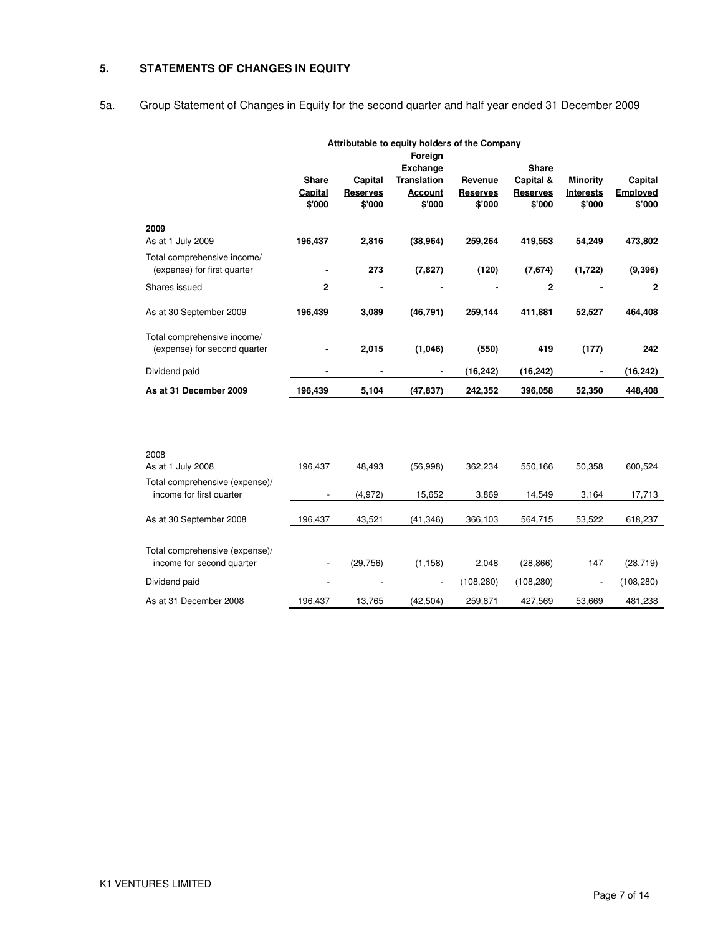## **5. STATEMENTS OF CHANGES IN EQUITY**

# 5a. Group Statement of Changes in Equity for the second quarter and half year ended 31 December 2009

|                                                             | Attributable to equity holders of the Company |                 |                    |                 |                 |                  |              |
|-------------------------------------------------------------|-----------------------------------------------|-----------------|--------------------|-----------------|-----------------|------------------|--------------|
|                                                             |                                               |                 | Foreign            |                 |                 |                  |              |
|                                                             |                                               |                 | <b>Exchange</b>    |                 | Share           |                  |              |
|                                                             | <b>Share</b>                                  | Capital         | <b>Translation</b> | Revenue         | Capital &       | <b>Minority</b>  | Capital      |
|                                                             | Capital                                       | <b>Reserves</b> | <b>Account</b>     | <b>Reserves</b> | <b>Reserves</b> | <b>Interests</b> | Employed     |
|                                                             | \$'000                                        | \$'000          | \$'000             | \$'000          | \$'000          | \$'000           | \$'000       |
| 2009                                                        |                                               |                 |                    |                 |                 |                  |              |
| As at 1 July 2009                                           | 196,437                                       | 2,816           | (38, 964)          | 259,264         | 419,553         | 54,249           | 473,802      |
| Total comprehensive income/                                 |                                               |                 |                    |                 |                 |                  |              |
| (expense) for first quarter                                 |                                               | 273             | (7, 827)           | (120)           | (7,674)         | (1,722)          | (9, 396)     |
| Shares issued                                               | $\mathbf 2$                                   | ٠               |                    |                 | $\overline{2}$  |                  | $\mathbf{2}$ |
| As at 30 September 2009                                     | 196,439                                       | 3,089           | (46, 791)          | 259,144         | 411,881         | 52,527           | 464,408      |
| Total comprehensive income/                                 |                                               |                 |                    |                 |                 |                  |              |
| (expense) for second quarter                                |                                               | 2,015           | (1,046)            | (550)           | 419             | (177)            | 242          |
| Dividend paid                                               |                                               | ٠               | ۰                  | (16, 242)       | (16, 242)       |                  | (16, 242)    |
| As at 31 December 2009                                      | 196,439                                       | 5,104           | (47, 837)          | 242,352         | 396,058         | 52,350           | 448,408      |
|                                                             |                                               |                 |                    |                 |                 |                  |              |
| 2008                                                        |                                               |                 |                    |                 |                 |                  |              |
| As at 1 July 2008                                           | 196,437                                       | 48,493          | (56,998)           | 362,234         | 550,166         | 50,358           | 600,524      |
| Total comprehensive (expense)/                              |                                               |                 |                    |                 |                 |                  |              |
| income for first quarter                                    |                                               | (4, 972)        | 15,652             | 3,869           | 14,549          | 3,164            | 17,713       |
| As at 30 September 2008                                     | 196,437                                       | 43,521          | (41, 346)          | 366,103         | 564,715         | 53,522           | 618,237      |
|                                                             |                                               |                 |                    |                 |                 |                  |              |
| Total comprehensive (expense)/<br>income for second quarter |                                               | (29, 756)       |                    | 2,048           |                 | 147              |              |
|                                                             | $\overline{\phantom{a}}$                      |                 | (1, 158)           |                 | (28, 866)       |                  | (28, 719)    |
| Dividend paid                                               |                                               |                 |                    | (108, 280)      | (108, 280)      |                  | (108, 280)   |
| As at 31 December 2008                                      | 196,437                                       | 13,765          | (42, 504)          | 259,871         | 427,569         | 53,669           | 481,238      |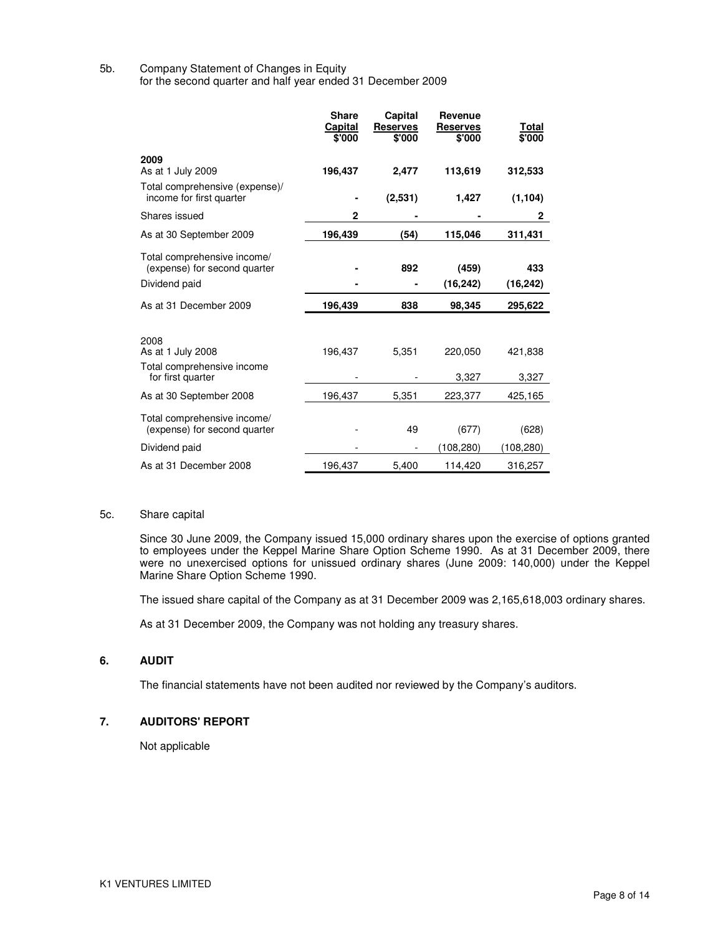## 5b. Company Statement of Changes in Equity

for the second quarter and half year ended 31 December 2009

|                                                                              | <b>Share</b><br>Capital<br>\$'000 | Capital<br><b>Reserves</b><br>\$'000 | Revenue<br><b>Reserves</b><br>\$'000 | Total<br>\$'000  |
|------------------------------------------------------------------------------|-----------------------------------|--------------------------------------|--------------------------------------|------------------|
| 2009<br>As at 1 July 2009                                                    | 196,437                           | 2,477                                | 113,619                              | 312,533          |
| Total comprehensive (expense)/<br>income for first quarter                   |                                   | (2,531)                              | 1,427                                | (1, 104)         |
| Shares issued                                                                | 2                                 |                                      |                                      | 2                |
| As at 30 September 2009                                                      | 196,439                           | (54)                                 | 115,046                              | 311,431          |
| Total comprehensive income/<br>(expense) for second quarter                  |                                   | 892                                  | (459)                                | 433              |
| Dividend paid                                                                |                                   |                                      | (16, 242)                            | (16, 242)        |
| As at 31 December 2009                                                       | 196,439                           | 838                                  | 98,345                               | 295,622          |
| 2008<br>As at 1 July 2008<br>Total comprehensive income<br>for first quarter | 196,437                           | 5,351                                | 220,050<br>3,327                     | 421,838<br>3,327 |
| As at 30 September 2008                                                      | 196,437                           | 5,351                                | 223,377                              | 425,165          |
| Total comprehensive income/<br>(expense) for second quarter                  |                                   | 49                                   | (677)                                | (628)            |
| Dividend paid                                                                |                                   |                                      | (108,280)                            | (108, 280)       |
| As at 31 December 2008                                                       | 196,437                           | 5,400                                | 114,420                              | 316,257          |

### 5c. Share capital

Since 30 June 2009, the Company issued 15,000 ordinary shares upon the exercise of options granted to employees under the Keppel Marine Share Option Scheme 1990. As at 31 December 2009, there were no unexercised options for unissued ordinary shares (June 2009: 140,000) under the Keppel Marine Share Option Scheme 1990.

The issued share capital of the Company as at 31 December 2009 was 2,165,618,003 ordinary shares.

As at 31 December 2009, the Company was not holding any treasury shares.

### **6. AUDIT**

The financial statements have not been audited nor reviewed by the Company's auditors.

### **7. AUDITORS' REPORT**

Not applicable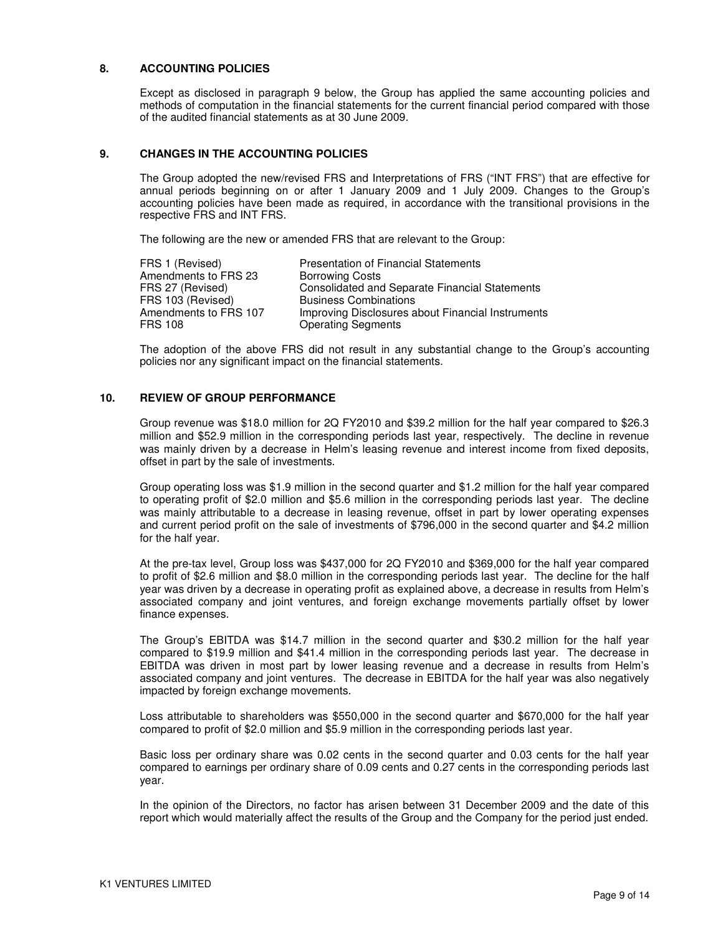### **8. ACCOUNTING POLICIES**

Except as disclosed in paragraph 9 below, the Group has applied the same accounting policies and methods of computation in the financial statements for the current financial period compared with those of the audited financial statements as at 30 June 2009.

### **9. CHANGES IN THE ACCOUNTING POLICIES**

The Group adopted the new/revised FRS and Interpretations of FRS ("INT FRS") that are effective for annual periods beginning on or after 1 January 2009 and 1 July 2009. Changes to the Group's accounting policies have been made as required, in accordance with the transitional provisions in the respective FRS and INT FRS.

The following are the new or amended FRS that are relevant to the Group:

| <b>Presentation of Financial Statements</b>           |
|-------------------------------------------------------|
| <b>Borrowing Costs</b>                                |
| <b>Consolidated and Separate Financial Statements</b> |
| <b>Business Combinations</b>                          |
| Improving Disclosures about Financial Instruments     |
| <b>Operating Segments</b>                             |
|                                                       |

The adoption of the above FRS did not result in any substantial change to the Group's accounting policies nor any significant impact on the financial statements.

### **10. REVIEW OF GROUP PERFORMANCE**

Group revenue was \$18.0 million for 2Q FY2010 and \$39.2 million for the half year compared to \$26.3 million and \$52.9 million in the corresponding periods last year, respectively. The decline in revenue was mainly driven by a decrease in Helm's leasing revenue and interest income from fixed deposits, offset in part by the sale of investments.

Group operating loss was \$1.9 million in the second quarter and \$1.2 million for the half year compared to operating profit of \$2.0 million and \$5.6 million in the corresponding periods last year. The decline was mainly attributable to a decrease in leasing revenue, offset in part by lower operating expenses and current period profit on the sale of investments of \$796,000 in the second quarter and \$4.2 million for the half year.

At the pre-tax level, Group loss was \$437,000 for 2Q FY2010 and \$369,000 for the half year compared to profit of \$2.6 million and \$8.0 million in the corresponding periods last year. The decline for the half year was driven by a decrease in operating profit as explained above, a decrease in results from Helm's associated company and joint ventures, and foreign exchange movements partially offset by lower finance expenses.

The Group's EBITDA was \$14.7 million in the second quarter and \$30.2 million for the half year compared to \$19.9 million and \$41.4 million in the corresponding periods last year. The decrease in EBITDA was driven in most part by lower leasing revenue and a decrease in results from Helm's associated company and joint ventures. The decrease in EBITDA for the half year was also negatively impacted by foreign exchange movements.

Loss attributable to shareholders was \$550,000 in the second quarter and \$670,000 for the half year compared to profit of \$2.0 million and \$5.9 million in the corresponding periods last year.

Basic loss per ordinary share was 0.02 cents in the second quarter and 0.03 cents for the half year compared to earnings per ordinary share of 0.09 cents and 0.27 cents in the corresponding periods last year.

In the opinion of the Directors, no factor has arisen between 31 December 2009 and the date of this report which would materially affect the results of the Group and the Company for the period just ended.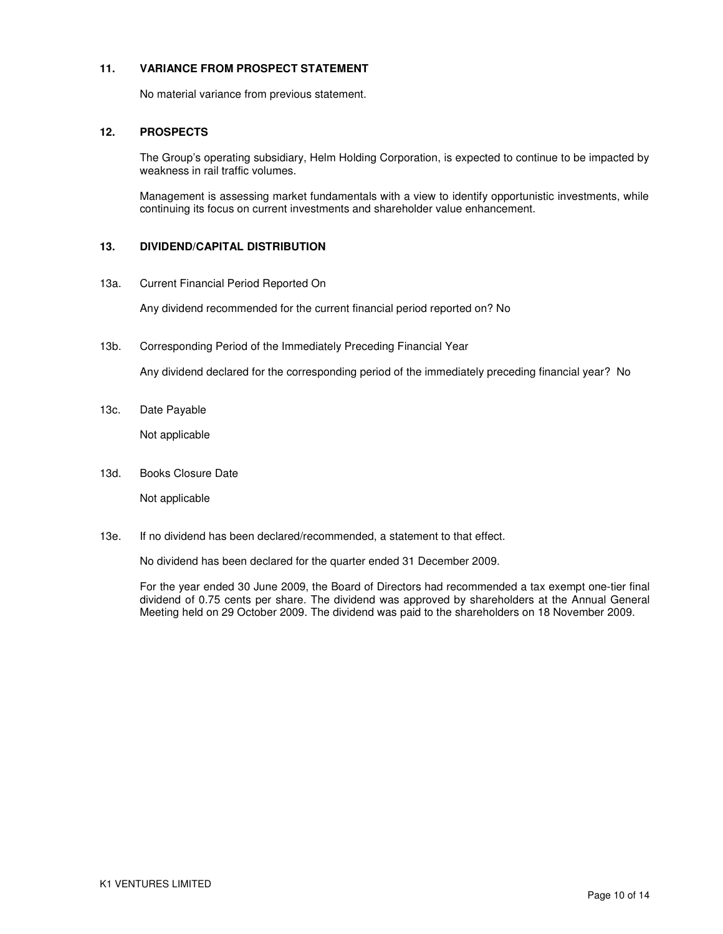### **11. VARIANCE FROM PROSPECT STATEMENT**

No material variance from previous statement.

### **12. PROSPECTS**

The Group's operating subsidiary, Helm Holding Corporation, is expected to continue to be impacted by weakness in rail traffic volumes.

Management is assessing market fundamentals with a view to identify opportunistic investments, while continuing its focus on current investments and shareholder value enhancement.

### **13. DIVIDEND/CAPITAL DISTRIBUTION**

13a. Current Financial Period Reported On

Any dividend recommended for the current financial period reported on? No

13b. Corresponding Period of the Immediately Preceding Financial Year

Any dividend declared for the corresponding period of the immediately preceding financial year? No

13c. Date Payable

Not applicable

13d. Books Closure Date

Not applicable

13e. If no dividend has been declared/recommended, a statement to that effect.

No dividend has been declared for the quarter ended 31 December 2009.

For the year ended 30 June 2009, the Board of Directors had recommended a tax exempt one-tier final dividend of 0.75 cents per share. The dividend was approved by shareholders at the Annual General Meeting held on 29 October 2009. The dividend was paid to the shareholders on 18 November 2009.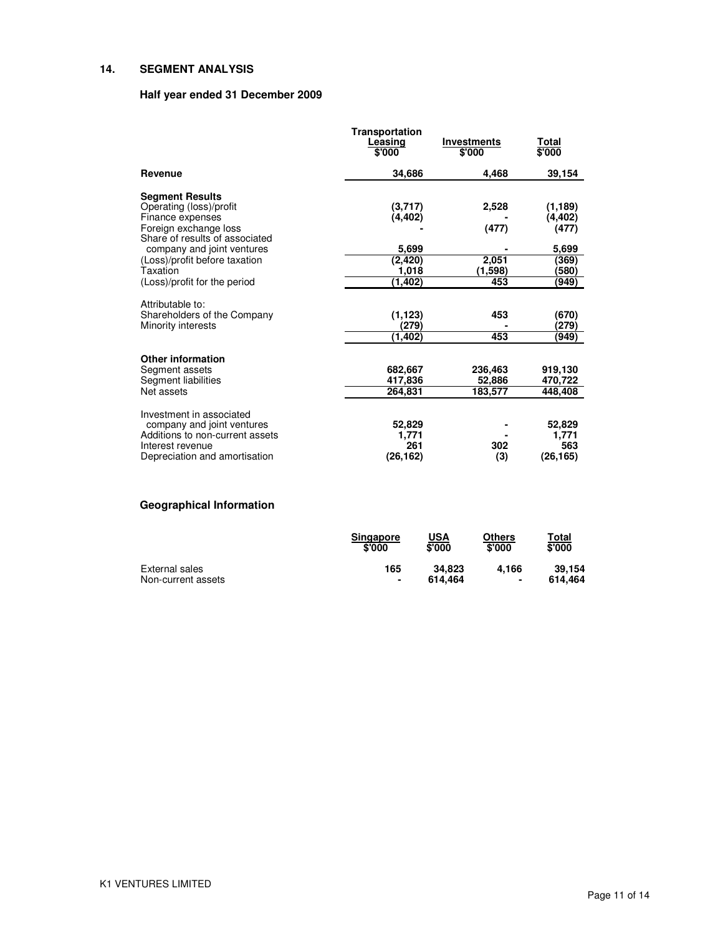## **14. SEGMENT ANALYSIS**

### **Half year ended 31 December 2009**

|                                                                                                                                                                                                                                             | <b>Transportation</b><br>Leasing<br>\$'000                  | <b>Investments</b><br>\$'000              | <u>Total</u><br>\$'000                                          |
|---------------------------------------------------------------------------------------------------------------------------------------------------------------------------------------------------------------------------------------------|-------------------------------------------------------------|-------------------------------------------|-----------------------------------------------------------------|
| Revenue                                                                                                                                                                                                                                     | 34,686                                                      | 4.468                                     | 39,154                                                          |
| <b>Segment Results</b><br>Operating (loss)/profit<br>Finance expenses<br>Foreign exchange loss<br>Share of results of associated<br>company and joint ventures<br>(Loss)/profit before taxation<br>Taxation<br>(Loss)/profit for the period | (3,717)<br>(4,402)<br>5,699<br>(2, 420)<br>1,018<br>(1,402) | 2,528<br>(477)<br>2,051<br>(1,598)<br>453 | (1,189)<br>(4,402)<br>(477)<br>5,699<br>(369)<br>(580)<br>(949) |
| Attributable to:<br>Shareholders of the Company<br>Minority interests                                                                                                                                                                       | (1, 123)<br>(279)<br>(1,402)                                | 453<br>453                                | (670)<br>(279)<br>(949)                                         |
| <b>Other information</b><br>Segment assets<br>Segment liabilities<br>Net assets                                                                                                                                                             | 682,667<br>417,836<br>264,831                               | 236,463<br>52,886<br>183,577              | 919,130<br>470,722<br>448,408                                   |
| Investment in associated<br>company and joint ventures<br>Additions to non-current assets<br>Interest revenue<br>Depreciation and amortisation                                                                                              | 52,829<br>1,771<br>261<br>(26, 162)                         | 302<br>(3)                                | 52,829<br>1,771<br>563<br>(26, 165)                             |

# **Geographical Information**

|                    | <b>Singapore</b><br>\$'000 | USA<br>\$'000 | Others<br>\$'000 | Total<br>\$'000 |
|--------------------|----------------------------|---------------|------------------|-----------------|
| External sales     | 165                        | 34.823        | 4.166            | 39.154          |
| Non-current assets | $\blacksquare$             | 614.464       | ٠                | 614.464         |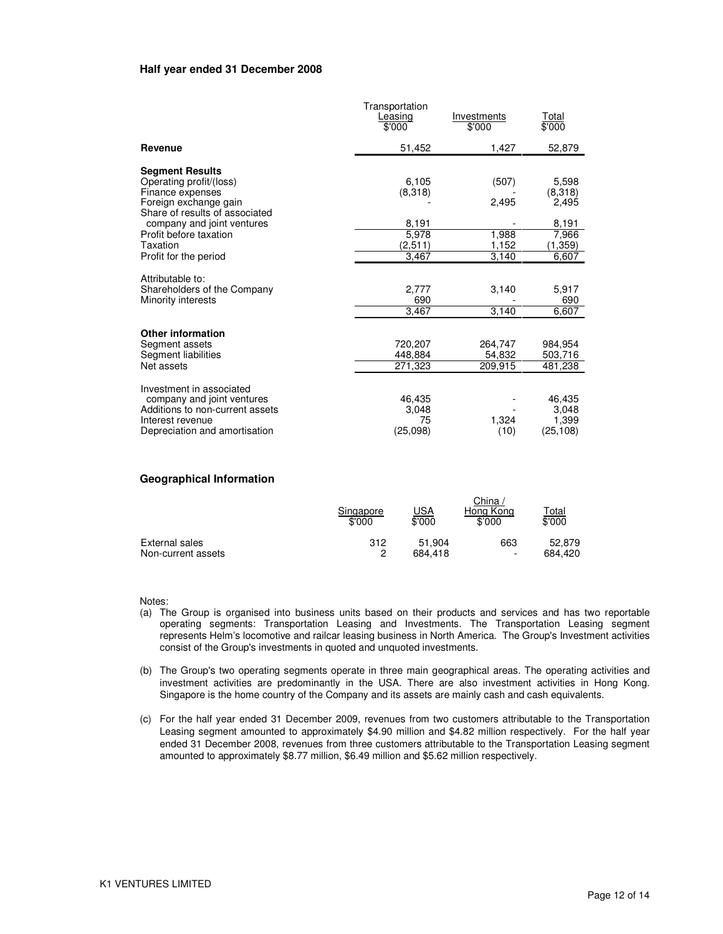#### **Half year ended 31 December 2008**

|                                                                                                                                                | Transportation<br>Leasing<br>\$'000 | Investments<br>\$'000        | <u>Total</u><br>\$'000                |
|------------------------------------------------------------------------------------------------------------------------------------------------|-------------------------------------|------------------------------|---------------------------------------|
| Revenue                                                                                                                                        | 51,452                              | 1,427                        | 52,879                                |
| <b>Segment Results</b><br>Operating profit/(loss)<br>Finance expenses<br>Foreign exchange gain                                                 | 6,105<br>(8,318)                    | (507)<br>2,495               | 5,598<br>(8,318)<br>2,495             |
| Share of results of associated<br>company and joint ventures<br>Profit before taxation<br>Taxation<br>Profit for the period                    | 8,191<br>5,978<br>(2,511)<br>3,467  | 1,988<br>1,152<br>3,140      | 8,191<br>7,966<br>(1, 359)<br>6,607   |
| Attributable to:<br>Shareholders of the Company<br>Minority interests                                                                          | 2,777<br>690<br>3,467               | 3,140<br>3.140               | 5,917<br>690<br>6,607                 |
| <b>Other information</b><br>Segment assets<br>Segment liabilities<br>Net assets                                                                | 720,207<br>448,884<br>271,323       | 264.747<br>54,832<br>209,915 | 984,954<br>503,716<br>481,238         |
| Investment in associated<br>company and joint ventures<br>Additions to non-current assets<br>Interest revenue<br>Depreciation and amortisation | 46,435<br>3,048<br>75<br>(25,098)   | 1,324<br>(10)                | 46,435<br>3.048<br>1,399<br>(25, 108) |

#### **Geographical Information**

|                    | Singapore<br>\$'000 | <u>JSA</u><br>\$'000 | China .<br>Hong Kong<br>\$'000 | <b>Total</b><br>\$'000 |
|--------------------|---------------------|----------------------|--------------------------------|------------------------|
| External sales     | 312                 | 51.904               | 663                            | 52.879                 |
| Non-current assets | ິ                   | 684.418              | $\overline{\phantom{a}}$       | 684.420                |

Notes:

- (a) The Group is organised into business units based on their products and services and has two reportable operating segments: Transportation Leasing and Investments. The Transportation Leasing segment represents Helm's locomotive and railcar leasing business in North America. The Group's Investment activities consist of the Group's investments in quoted and unquoted investments.
- (b) The Group's two operating segments operate in three main geographical areas. The operating activities and investment activities are predominantly in the USA. There are also investment activities in Hong Kong. Singapore is the home country of the Company and its assets are mainly cash and cash equivalents.
- (c) For the half year ended 31 December 2009, revenues from two customers attributable to the Transportation Leasing segment amounted to approximately \$4.90 million and \$4.82 million respectively. For the half year ended 31 December 2008, revenues from three customers attributable to the Transportation Leasing segment amounted to approximately \$8.77 million, \$6.49 million and \$5.62 million respectively.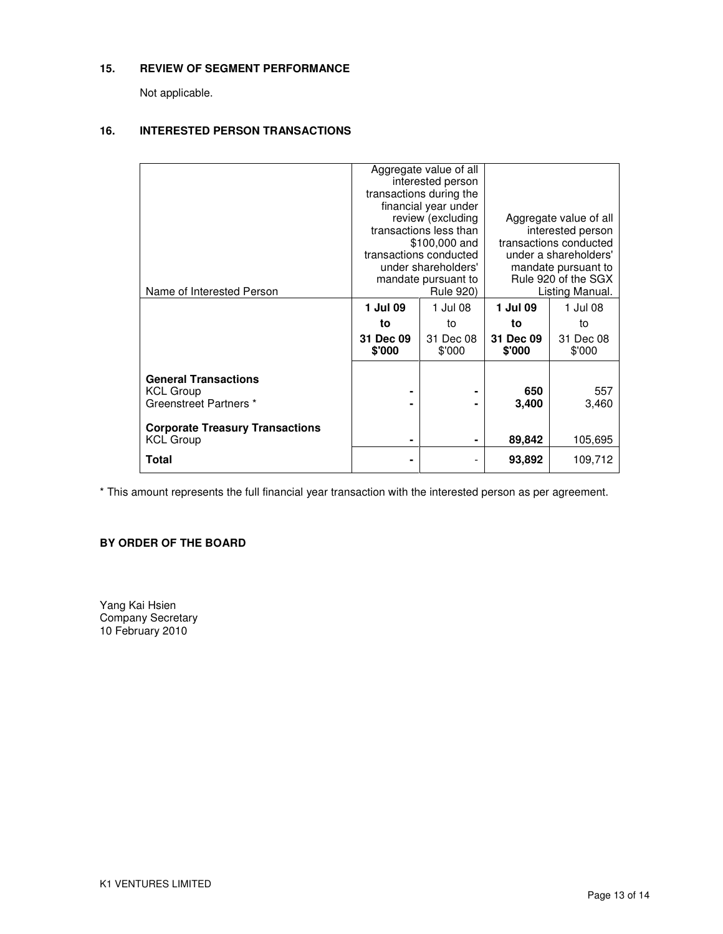### **15. REVIEW OF SEGMENT PERFORMANCE**

Not applicable.

### **16. INTERESTED PERSON TRANSACTIONS**

|                                                                           | Aggregate value of all<br>interested person<br>transactions during the<br>financial year under<br>review (excluding<br>transactions less than<br>\$100,000 and<br>transactions conducted<br>under shareholders'<br>mandate pursuant to |                     | Aggregate value of all<br>interested person<br>transactions conducted<br>under a shareholders'<br>mandate pursuant to<br>Rule 920 of the SGX |                     |
|---------------------------------------------------------------------------|----------------------------------------------------------------------------------------------------------------------------------------------------------------------------------------------------------------------------------------|---------------------|----------------------------------------------------------------------------------------------------------------------------------------------|---------------------|
| Name of Interested Person                                                 |                                                                                                                                                                                                                                        | <b>Rule 920)</b>    |                                                                                                                                              | Listing Manual.     |
|                                                                           | 1 Jul 09                                                                                                                                                                                                                               | 1 Jul 08            | 1 Jul 09                                                                                                                                     | 1 Jul 08            |
|                                                                           | to                                                                                                                                                                                                                                     | to                  | to                                                                                                                                           | to                  |
|                                                                           | 31 Dec 09<br>\$'000                                                                                                                                                                                                                    | 31 Dec 08<br>\$'000 | 31 Dec 09<br>\$'000                                                                                                                          | 31 Dec 08<br>\$'000 |
| <b>General Transactions</b><br><b>KCL Group</b><br>Greenstreet Partners * |                                                                                                                                                                                                                                        |                     | 650<br>3,400                                                                                                                                 | 557<br>3,460        |
| <b>Corporate Treasury Transactions</b><br><b>KCL Group</b>                | ۰                                                                                                                                                                                                                                      | ۰                   | 89,842                                                                                                                                       | 105,695             |
| Total                                                                     |                                                                                                                                                                                                                                        |                     | 93,892                                                                                                                                       | 109,712             |

\* This amount represents the full financial year transaction with the interested person as per agreement.

## **BY ORDER OF THE BOARD**

Yang Kai Hsien Company Secretary 10 February 2010